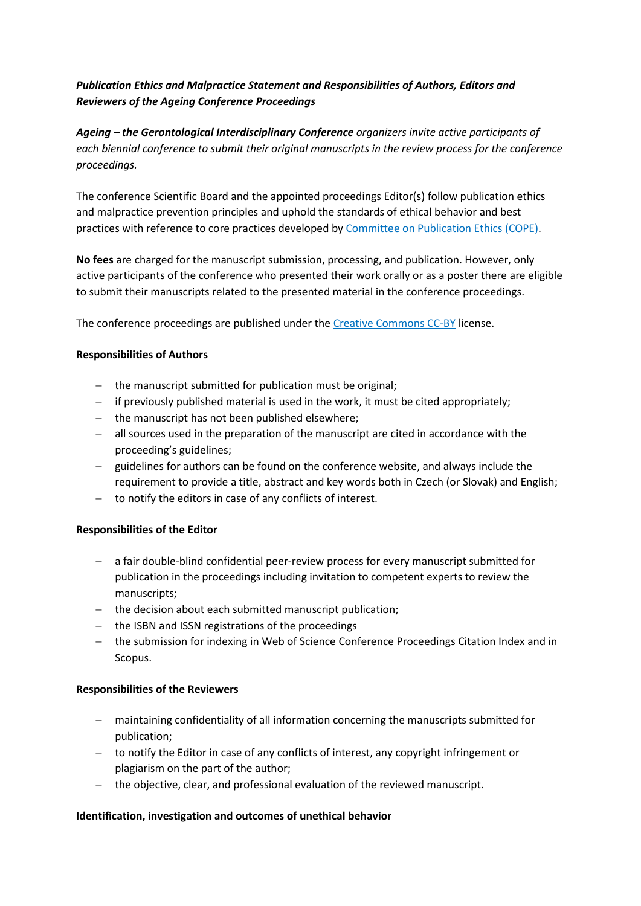# *Publication Ethics and Malpractice Statement and Responsibilities of Authors, Editors and Reviewers of the Ageing Conference Proceedings*

*Ageing – the Gerontological Interdisciplinary Conference organizers invite active participants of each biennial conference to submit their original manuscripts in the review process for the conference proceedings.* 

The conference Scientific Board and the appointed proceedings Editor(s) follow publication ethics and malpractice prevention principles and uphold the standards of ethical behavior and best practices with reference to core practices developed by [Committee on Publication Ethics \(COPE\).](https://publicationethics.org/)

**No fees** are charged for the manuscript submission, processing, and publication. However, only active participants of the conference who presented their work orally or as a poster there are eligible to submit their manuscripts related to the presented material in the conference proceedings.

The conference proceedings are published under th[e Creative Commons CC-BY](https://creativecommons.org/licenses/by/2.0) license.

## **Responsibilities of Authors**

- − the manuscript submitted for publication must be original;
- − if previously published material is used in the work, it must be cited appropriately;
- − the manuscript has not been published elsewhere;
- − all sources used in the preparation of the manuscript are cited in accordance with the proceeding's guidelines;
- − guidelines for authors can be found on the conference website, and always include the requirement to provide a title, abstract and key words both in Czech (or Slovak) and English;
- − to notify the editors in case of any conflicts of interest.

### **Responsibilities of the Editor**

- − a fair double-blind confidential peer-review process for every manuscript submitted for publication in the proceedings including invitation to competent experts to review the manuscripts;
- − the decision about each submitted manuscript publication;
- − the ISBN and ISSN registrations of the proceedings
- − the submission for indexing in Web of Science Conference Proceedings Citation Index and in Scopus.

### **Responsibilities of the Reviewers**

- − maintaining confidentiality of all information concerning the manuscripts submitted for publication;
- − to notify the Editor in case of any conflicts of interest, any copyright infringement or plagiarism on the part of the author;
- − the objective, clear, and professional evaluation of the reviewed manuscript.

### **Identification, investigation and outcomes of unethical behavior**